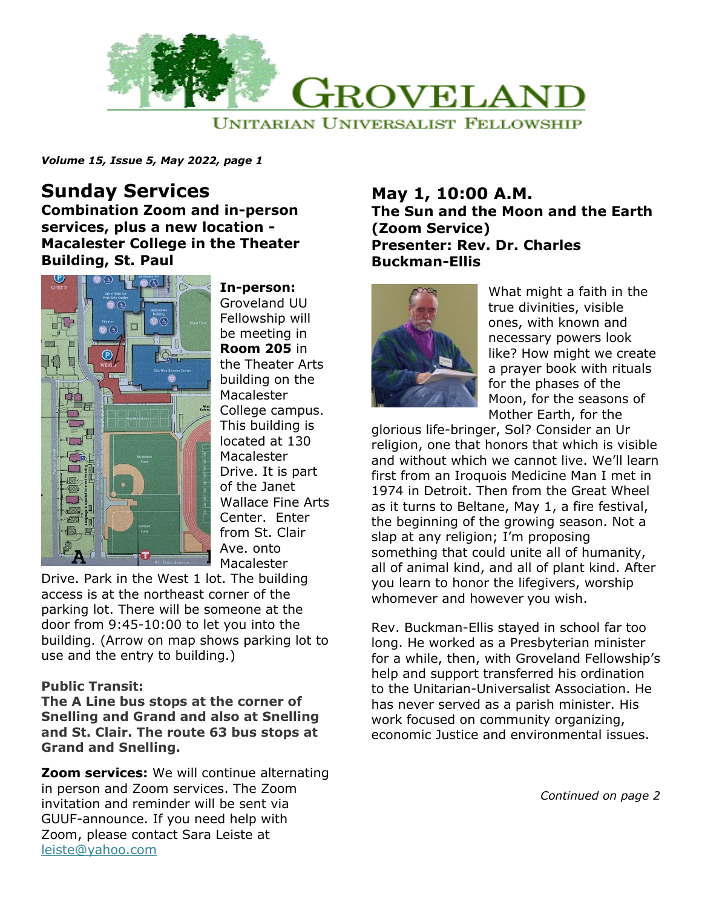

*Volume 15, Issue 5, May 2022, page 1*

# **Sunday Services**

**Combination Zoom and in-person services, plus a new location - Macalester College in the Theater Building, St. Paul**



**In-person:** Groveland UU Fellowship will be meeting in **Room 205** in the Theater Arts building on the Macalester College campus. This building is located at 130 Macalester Drive. It is part of the Janet Wallace Fine Arts Center. Enter from St. Clair Ave. onto Macalester

Drive. Park in the West 1 lot. The building access is at the northeast corner of the parking lot. There will be someone at the door from 9:45-10:00 to let you into the building. (Arrow on map shows parking lot to use and the entry to building.)

#### **Public Transit:**

**The A Line bus stops at the corner of Snelling and Grand and also at Snelling and St. Clair. The route 63 bus stops at Grand and Snelling.**

**Zoom services:** We will continue alternating in person and Zoom services. The Zoom invitation and reminder will be sent via GUUF-announce. If you need help with Zoom, please contact Sara Leiste at [leiste@yahoo.com](mailto:leiste@yahoo.com)

#### **May 1, 10:00 A.M. The Sun and the Moon and the Earth (Zoom Service) Presenter: Rev. Dr. Charles Buckman-Ellis**



What might a faith in the true divinities, visible ones, with known and necessary powers look like? How might we create a prayer book with rituals for the phases of the Moon, for the seasons of Mother Earth, for the

glorious life-bringer, Sol? Consider an Ur religion, one that honors that which is visible and without which we cannot live. We'll learn first from an Iroquois Medicine Man I met in 1974 in Detroit. Then from the Great Wheel as it turns to Beltane, May 1, a fire festival, the beginning of the growing season. Not a slap at any religion; I'm proposing something that could unite all of humanity, all of animal kind, and all of plant kind. After you learn to honor the lifegivers, worship whomever and however you wish.

Rev. Buckman-Ellis stayed in school far too long. He worked as a Presbyterian minister for a while, then, with Groveland Fellowship's help and support transferred his ordination to the Unitarian-Universalist Association. He has never served as a parish minister. His work focused on community organizing, economic Justice and environmental issues.

*Continued on page 2*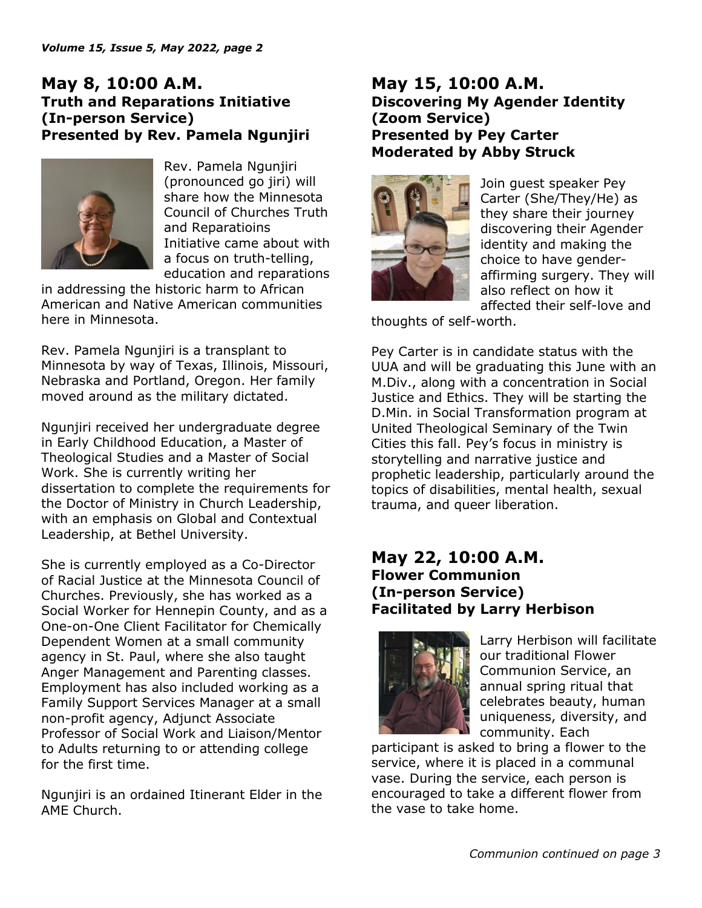## **May 8, 10:00 A.M. Truth and Reparations Initiative (In-person Service) Presented by Rev. Pamela Ngunjiri**



Rev. Pamela Ngunjiri (pronounced go jiri) will share how the Minnesota Council of Churches Truth and Reparatioins Initiative came about with a focus on truth-telling, education and reparations

in addressing the historic harm to African American and Native American communities here in Minnesota.

Rev. Pamela Ngunjiri is a transplant to Minnesota by way of Texas, Illinois, Missouri, Nebraska and Portland, Oregon. Her family moved around as the military dictated.

Ngunjiri received her undergraduate degree in Early Childhood Education, a Master of Theological Studies and a Master of Social Work. She is currently writing her dissertation to complete the requirements for the Doctor of Ministry in Church Leadership, with an emphasis on Global and Contextual Leadership, at Bethel University.

She is currently employed as a Co-Director of Racial Justice at the Minnesota Council of Churches. Previously, she has worked as a Social Worker for Hennepin County, and as a One-on-One Client Facilitator for Chemically Dependent Women at a small community agency in St. Paul, where she also taught Anger Management and Parenting classes. Employment has also included working as a Family Support Services Manager at a small non-profit agency, Adjunct Associate Professor of Social Work and Liaison/Mentor to Adults returning to or attending college for the first time.

Ngunjiri is an ordained Itinerant Elder in the AME Church.

## **May 15, 10:00 A.M. Discovering My Agender Identity (Zoom Service) Presented by Pey Carter Moderated by Abby Struck**



Join guest speaker Pey Carter (She/They/He) as they share their journey discovering their Agender identity and making the choice to have genderaffirming surgery. They will also reflect on how it affected their self-love and

thoughts of self-worth.

Pey Carter is in candidate status with the UUA and will be graduating this June with an M.Div., along with a concentration in Social Justice and Ethics. They will be starting the D.Min. in Social Transformation program at United Theological Seminary of the Twin Cities this fall. Pey's focus in ministry is storytelling and narrative justice and prophetic leadership, particularly around the topics of disabilities, mental health, sexual trauma, and queer liberation.

## **May 22, 10:00 A.M. Flower Communion (In-person Service) Facilitated by Larry Herbison**



Larry Herbison will facilitate our traditional Flower Communion Service, an annual spring ritual that celebrates beauty, human uniqueness, diversity, and community. Each

participant is asked to bring a flower to the service, where it is placed in a communal vase. During the service, each person is encouraged to take a different flower from the vase to take home.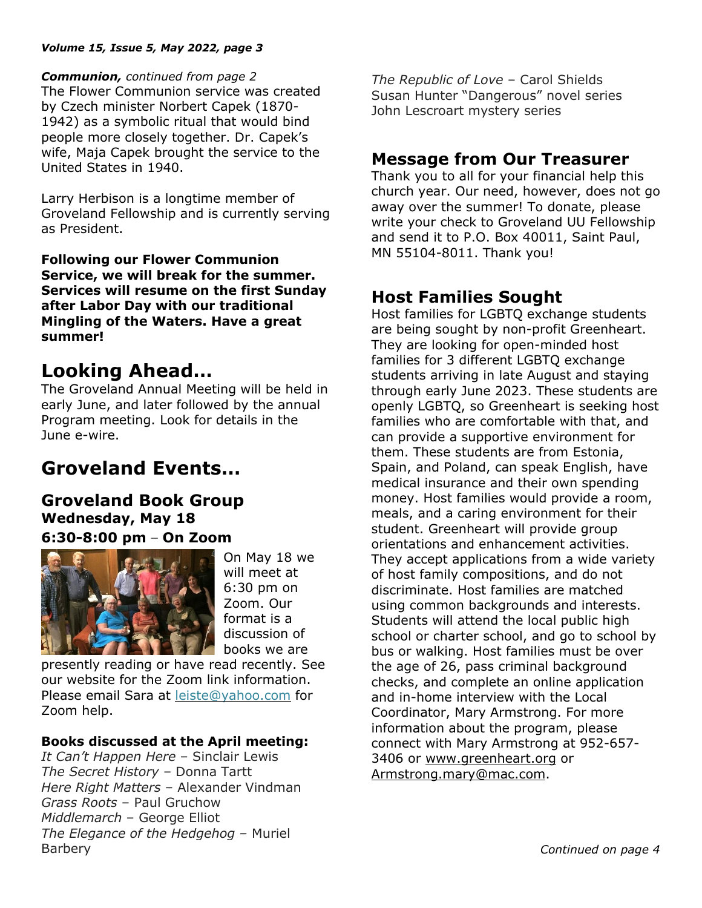#### *Volume 15, Issue 5, May 2022, page 3*

*Communion, continued from page 2*

The Flower Communion service was created by Czech minister Norbert Capek (1870- 1942) as a symbolic ritual that would bind people more closely together. Dr. Capek's wife, Maja Capek brought the service to the United States in 1940.

Larry Herbison is a longtime member of Groveland Fellowship and is currently serving as President.

**Following our Flower Communion Service, we will break for the summer. Services will resume on the first Sunday after Labor Day with our traditional Mingling of the Waters. Have a great summer!**

# **Looking Ahead…**

The Groveland Annual Meeting will be held in early June, and later followed by the annual Program meeting. Look for details in the June e-wire.

# **Groveland Events…**

## **Groveland Book Group Wednesday, May 18 6:30-8:00 pm – On Zoom**



On May 18 we will meet at 6:30 pm on Zoom. Our format is a discussion of books we are

presently reading or have read recently. See our website for the Zoom link information. Please email Sara at [leiste@yahoo.com](mailto:leiste@yahoo.com) for Zoom help.

#### **Books discussed at the April meeting:**

*It Can't Happen Here* – Sinclair Lewis *The Secret History* – Donna Tartt *Here Right Matters* – Alexander Vindman *Grass Roots* – Paul Gruchow *Middlemarch* – George Elliot *The Elegance of the Hedgehog* – Muriel Barbery

*The Republic of Love* – Carol Shields Susan Hunter "Dangerous" novel series John Lescroart mystery series

## **Message from Our Treasurer**

Thank you to all for your financial help this church year. Our need, however, does not go away over the summer! To donate, please write your check to Groveland UU Fellowship and send it to P.O. Box 40011, Saint Paul, MN 55104-8011. Thank you!

# **Host Families Sought**

Host families for LGBTQ exchange students are being sought by non-profit Greenheart. They are looking for open-minded host families for 3 different LGBTQ exchange students arriving in late August and staying through early June 2023. These students are openly LGBTQ, so Greenheart is seeking host families who are comfortable with that, and can provide a supportive environment for them. These students are from Estonia, Spain, and Poland, can speak English, have medical insurance and their own spending money. Host families would provide a room, meals, and a caring environment for their student. Greenheart will provide group orientations and enhancement activities. They accept applications from a wide variety of host family compositions, and do not discriminate. Host families are matched using common backgrounds and interests. Students will attend the local public high school or charter school, and go to school by bus or walking. Host families must be over the age of 26, pass criminal background checks, and complete an online application and in-home interview with the Local Coordinator, Mary Armstrong. For more information about the program, please connect with Mary Armstrong at 952-657- 3406 or [www.greenheart.org](http://www.greenheart.org/) or [Armstrong.mary@mac.com.](mailto:Armstrong.mary@mac.com)